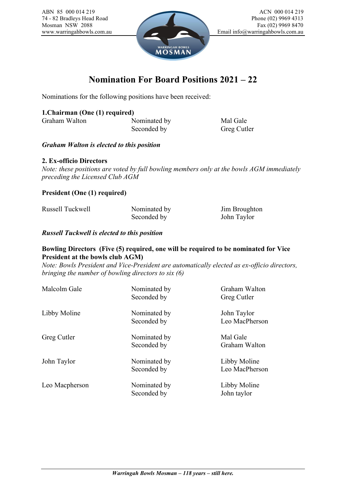Mosman NSW 2088



## **Nomination For Board Positions 2021 – 22**

Nominations for the following positions have been received:

### **1.Chairman (One (1) required)**

Graham Walton Nominated by Mal Gale

Seconded by Greg Cutler

#### *Graham Walton is elected to this position*

#### **2. Ex-officio Directors**

*Note: these positions are voted by full bowling members only at the bowls AGM immediately preceding the Licensed Club AGM*

**President (One (1) required)**

| Russell Tuckwell | Nominated by | Jim Broughton |
|------------------|--------------|---------------|
|                  | Seconded by  | John Taylor   |

*Russell Tuckwell is elected to this position*

#### **Bowling Directors (Five (5) required, one will be required to be nominated for Vice President at the bowls club AGM)**

*Note: Bowls President and Vice-President are automatically elected as ex-officio directors, bringing the number of bowling directors to six (6)*

| Malcolm Gale   | Nominated by<br>Seconded by | Graham Walton<br>Greg Cutler   |
|----------------|-----------------------------|--------------------------------|
| Libby Moline   | Nominated by<br>Seconded by | John Taylor<br>Leo MacPherson  |
| Greg Cutler    | Nominated by<br>Seconded by | Mal Gale<br>Graham Walton      |
| John Taylor    | Nominated by<br>Seconded by | Libby Moline<br>Leo MacPherson |
| Leo Macpherson | Nominated by<br>Seconded by | Libby Moline<br>John taylor    |